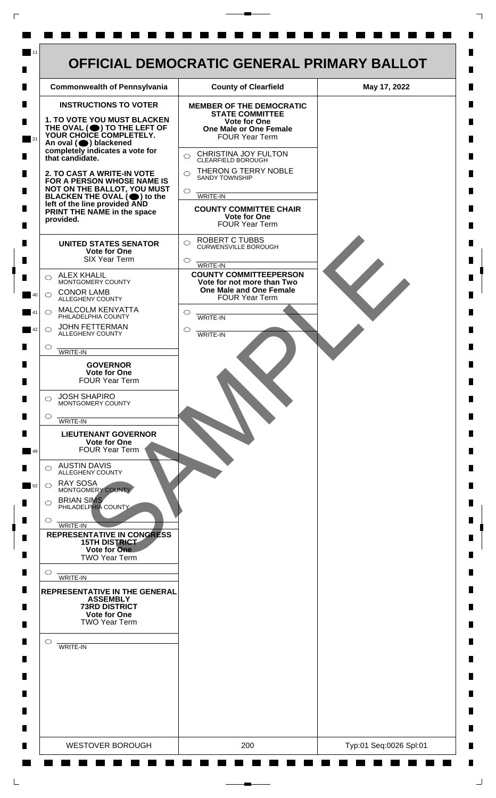

 $\mathsf{L}$ 

 $\Box$